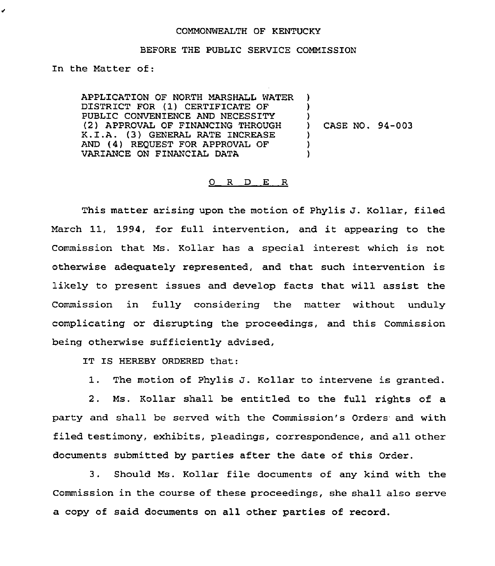## COMMONWEALTH OF KENTUCKY

## BEFORE THE PUBLIC SERVICE COMMISSION

In the Matter of:

APPLICATION OF NORTH MARSHALL WATER DISTRICT FOR (1) CERTIFICATE OF PUBLIC CONVENIENCE AND NECESSITY (2) APPROVAL OF FINANCING THROUGH K.I.A. (3) GENERAL RATE INCREASE AND (4) REQUEST FOR APPROVAL OF VARIANCE ON FINANCIAL DATA ) ) )<br>) ) ) )

) CASE NO. 94-003

## 0 R D E R

This matter arising upon the motion of Phylis J. Kollar, filed March 11, 1994, for full intervention, and it appearing to the Commission that Ms. Kollar has a special interest which is not otherwise adequately represented, and that such intervention is likely to present issues and develop facts that will assist the Commission in fully considering the matter without unduly complicating or disrupting the proceedings, and this Commission being otherwise sufficiently advised,

IT IS HEREBY ORDERED that:

1. The motion of Phylis J. Kollar to intervene is granted.

2. Ms. Kollar shall be entitled to the full rights of a party and shall be served with the Commission's Orders and with filed testimony, exhibits, pleadings, correspondence, and all other documents submitted by parties after the date of this Order.

3. Should Ms. Kollar file documents of any kind with the Commission in the course of these proceedings, she shall also serve a copy of said documents on all other parties of record.